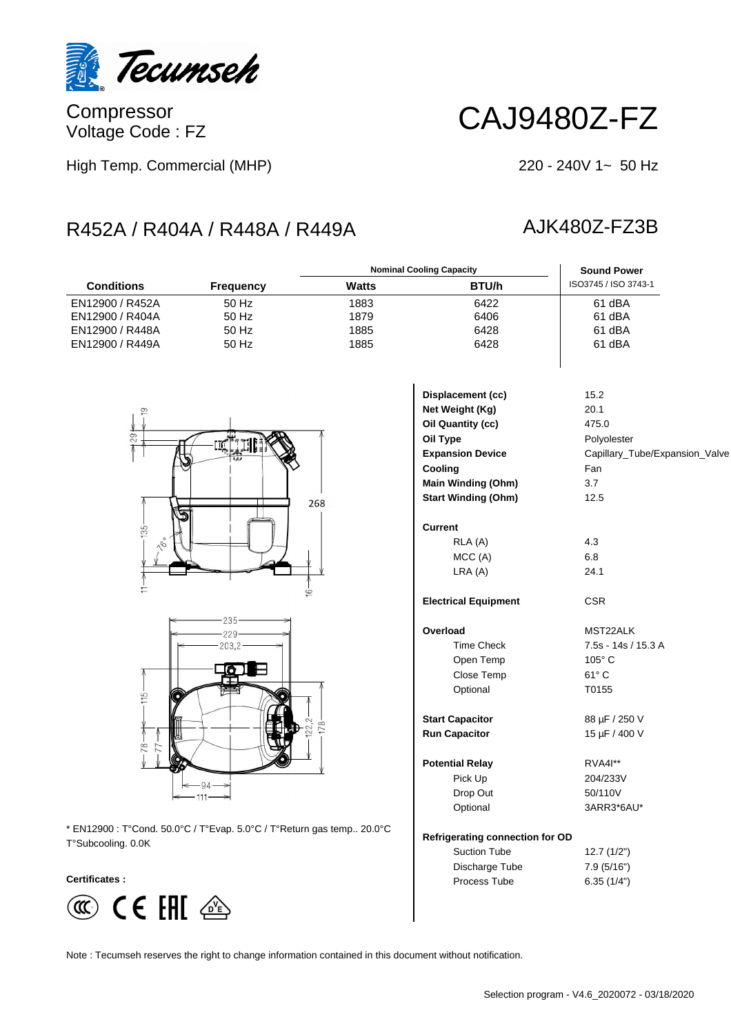

Compressor Voltage Code : FZ

# CAJ9480Z-FZ

High Temp. Commercial (MHP)

### $220 - 240V$  1~ 50 Hz

# R452A / R404A / R448A / R449A AJK480Z-FZ3B

### **Conditions Frequency Watts BTU/h** ISO3745 / ISO 3743-1 **Nominal Cooling Capacity Sound Power** EN12900 / R452A 50 Hz 1883 6422 61 dBA EN12900 / R404A 50 Hz 1879 6406 61 dBA EN12900 / R448A 50 Hz 1885 6428 61 dBA EN12900 / R449A 50 Hz 1885 6428





\* EN12900 : T°Cond. 50.0°C / T°Evap. 5.0°C / T°Return gas temp.. 20.0°C T°Subcooling. 0.0K

### **Certificates :**



| Displacement (cc)                      | 15.2                           |
|----------------------------------------|--------------------------------|
| Net Weight (Kg)                        | 20.1                           |
| Oil Quantity (cc)                      | 475.0                          |
| Oil Type                               | Polyolester                    |
| <b>Expansion Device</b>                | Capillary_Tube/Expansion_Valve |
| Cooling                                | Fan                            |
| <b>Main Winding (Ohm)</b>              | 3.7                            |
| <b>Start Winding (Ohm)</b>             | 12.5                           |
| Current                                |                                |
| RLA (A)                                | 4.3                            |
| MCC(A)                                 | 6.8                            |
| LRA(A)                                 | 24.1                           |
| <b>Electrical Equipment</b>            | <b>CSR</b>                     |
| Overload                               | MST22ALK                       |
| <b>Time Check</b>                      | 7.5s - 14s / 15.3 A            |
| Open Temp                              | 105°C                          |
| Close Temp                             | $61^\circ$ C                   |
| Optional                               | T0155                          |
| <b>Start Capacitor</b>                 | 88 µF / 250 V                  |
| <b>Run Capacitor</b>                   | 15 µF / 400 V                  |
| <b>Potential Relay</b>                 | <b>RVA4I**</b>                 |
| Pick Up                                | 204/233V                       |
| Drop Out                               | 50/110V                        |
| Optional                               | 3ARR3*6AU*                     |
| <b>Refrigerating connection for OD</b> |                                |
| <b>Suction Tube</b>                    | 12.7(1/2")                     |
| Discharge Tube                         | 7.9 (5/16")                    |

Note : Tecumseh reserves the right to change information contained in this document without notification.

Process Tube 6.35 (1/4")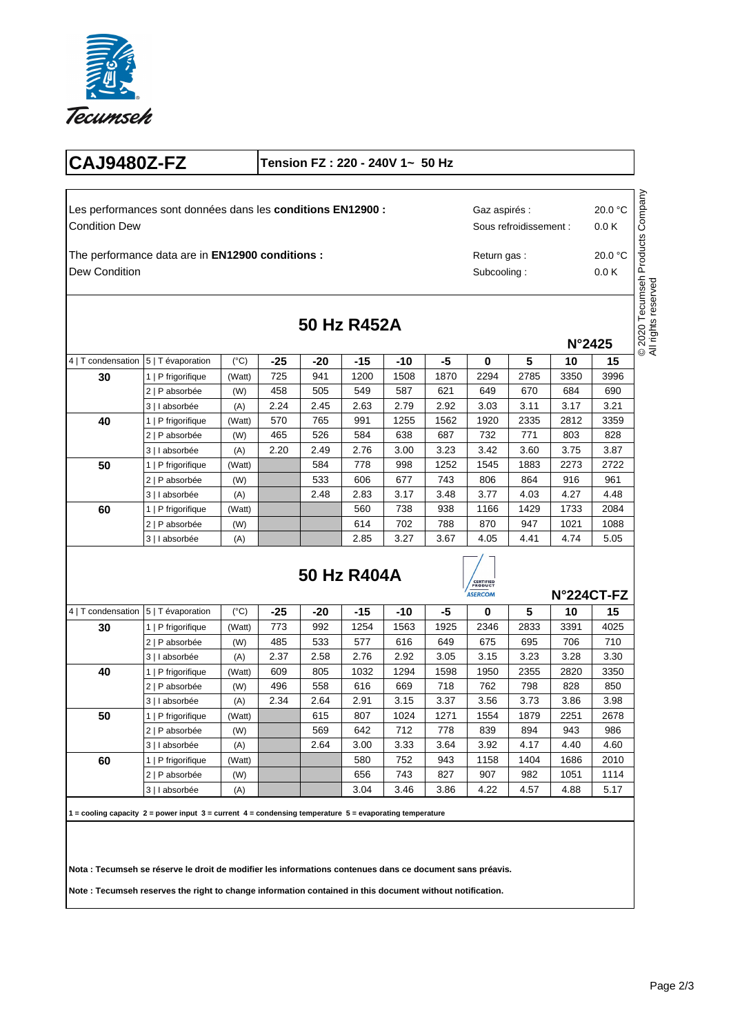

## **CAJ9480Z-FZ Tension FZ : 220 - 240V 1~ 50 Hz**

Condition Dew Les performances sont données dans les **conditions EN12900 :** 20.0 °C

Dew Condition The performance data are in **EN12900 conditions :**

 $4 | T$  condensation  $5 | T$  évaporation (°C)

**30** 1 | P frigorifique (Watt)

40 | 1 | P frigorifique | (Watt)

**50** 1 | P frigorifique (Watt)

**60** 1 | P frigorifique (Watt)

2 | P absorbée (W) 3 | I absorbée (A)

2 | P absorbée (W) 3 | I absorbée (A)

2 | P absorbée (W) 3 | I absorbée (A)

2 | P absorbée (W) 3 | I absorbée (A)

|             | s conditions EN12900 : |      |                            |      | Gaz aspirés :   | Sous refroidissement : | 20.0 °C<br>0.0K | Products Company |                                                 |
|-------------|------------------------|------|----------------------------|------|-----------------|------------------------|-----------------|------------------|-------------------------------------------------|
| onditions : |                        |      | Return gas:<br>Subcooling: |      | 20.0 °C<br>0.0K |                        |                 |                  |                                                 |
|             | 50 Hz R452A            |      |                            |      |                 |                        | N°2425          |                  | ecumseh<br>reserved<br>© 2020 T<br>All rights ı |
|             |                        |      |                            |      |                 |                        |                 |                  |                                                 |
| -25         | -20                    | -15  | -10                        | -5   | 0               | 5                      | 10              | 15               |                                                 |
| 725         | 941                    | 1200 | 1508                       | 1870 | 2294            | 2785                   | 3350            | 3996             |                                                 |
| 458         | 505                    | 549  | 587                        | 621  | 649             | 670                    | 684             | 690              |                                                 |
| 2.24        | 2.45                   | 2.63 | 2.79                       | 2.92 | 3.03            | 3.11                   | 3.17            | 3.21             |                                                 |
| 570         | 765                    | 991  | 1255                       | 1562 | 1920            | 2335                   | 2812            | 3359             |                                                 |
| 465         | 526                    | 584  | 638                        | 687  | 732             | 771                    | 803             | 828              |                                                 |
| 2.20        | 2.49                   | 2.76 | 3.00                       | 3.23 | 3.42            | 3.60                   | 3.75            | 3.87             |                                                 |
|             | 584                    | 778  | 998                        | 1252 | 1545            | 1883                   | 2273            | 2722             |                                                 |

 $3.48$ 938 788 3.67

# **50 Hz R404A**

2.83 560 614 2.85  $3.17$ 738 702 3.27

2.48



 $3.77$ 1166 870 4.05

4.03 1429 947 4.41

4.27 1733 1021 4.74

**N°224CT-FZ**

4.48 2084 1088 5.05

|                    |                    |               |      |       |       |       | ייישות |      |      | N 224U FFZ |      |  |
|--------------------|--------------------|---------------|------|-------|-------|-------|--------|------|------|------------|------|--|
| 4   T condensation | 5   T évaporation  | $(^{\circ}C)$ | -25  | $-20$ | $-15$ | $-10$ | -5     | 0    | 5    | 10         | 15   |  |
| 30                 | 1   P frigorifique | (Watt)        | 773  | 992   | 1254  | 1563  | 1925   | 2346 | 2833 | 3391       | 4025 |  |
|                    | 2   P absorbée     | (W)           | 485  | 533   | 577   | 616   | 649    | 675  | 695  | 706        | 710  |  |
|                    | 3   I absorbée     | (A)           | 2.37 | 2.58  | 2.76  | 2.92  | 3.05   | 3.15 | 3.23 | 3.28       | 3.30 |  |
| 40                 | 1   P frigorifique | (Watt)        | 609  | 805   | 1032  | 1294  | 1598   | 1950 | 2355 | 2820       | 3350 |  |
|                    | 2   P absorbée     | (W)           | 496  | 558   | 616   | 669   | 718    | 762  | 798  | 828        | 850  |  |
|                    | 3   I absorbée     | (A)           | 2.34 | 2.64  | 2.91  | 3.15  | 3.37   | 3.56 | 3.73 | 3.86       | 3.98 |  |
| 50                 | 1   P frigorifique | (Watt)        |      | 615   | 807   | 1024  | 1271   | 1554 | 1879 | 2251       | 2678 |  |
|                    | 2   P absorbée     | (W)           |      | 569   | 642   | 712   | 778    | 839  | 894  | 943        | 986  |  |
|                    | 3   I absorbée     | (A)           |      | 2.64  | 3.00  | 3.33  | 3.64   | 3.92 | 4.17 | 4.40       | 4.60 |  |
| 60                 | 1   P frigorifique | (Watt)        |      |       | 580   | 752   | 943    | 1158 | 1404 | 1686       | 2010 |  |
|                    | 2   P absorbée     | (W)           |      |       | 656   | 743   | 827    | 907  | 982  | 1051       | 1114 |  |
|                    | 3   I absorbée     | (A)           |      |       | 3.04  | 3.46  | 3.86   | 4.22 | 4.57 | 4.88       | 5.17 |  |

**1 = cooling capacity 2 = power input 3 = current 4 = condensing temperature 5 = evaporating temperature** 

**Nota : Tecumseh se réserve le droit de modifier les informations contenues dans ce document sans préavis.** 

**Note : Tecumseh reserves the right to change information contained in this document without notification.**

All rights reserved